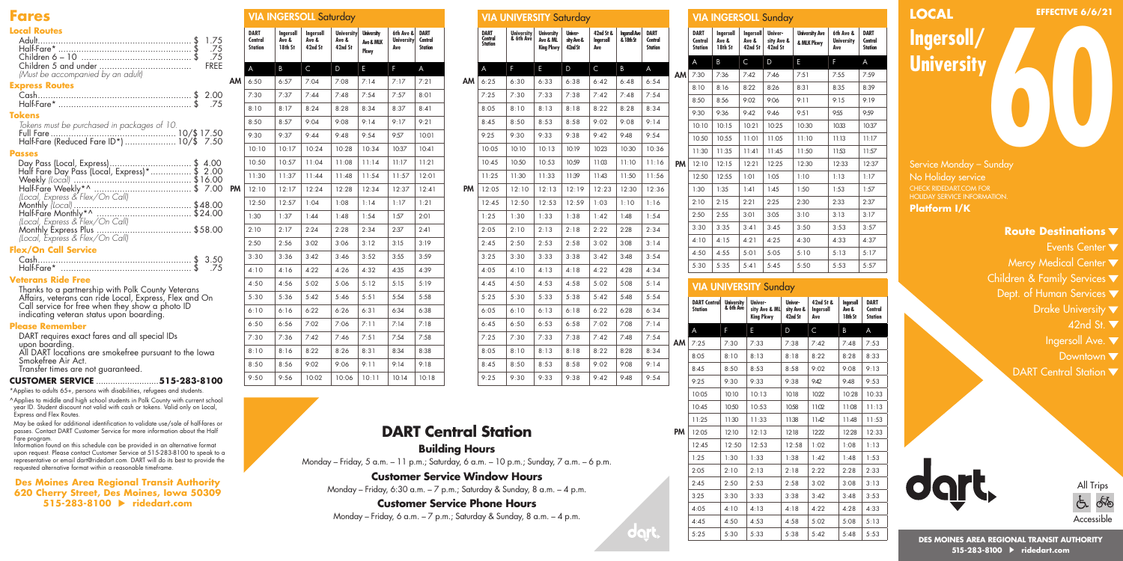### **Fares**

### **Local Routes**

| 1.75<br>.75<br>-75<br><b>FREE</b><br>(Must be accompanied by an adult) | ΔМ |
|------------------------------------------------------------------------|----|
| <b>Express Routes</b>                                                  |    |
| <b>Tokens</b><br>Tokens must be purchased in packages of 10.           |    |
| Passes                                                                 | PM |
| (Local, Express & Flex/On Call)                                        |    |
| (Local, Express & Flex/On Call)<br><b>Flex/On Call Service</b>         |    |

| Half-Fare* |  |
|------------|--|
|            |  |

#### **Veterans Ride Free**

Thanks to a partnership with Polk County Veterans Affairs, veterans can ride Local, Express, Flex and On Call service for free when they show a photo ID indicating veteran status upon boarding.

#### **Please Remember**

DART requires exact fares and all special IDs upon boarding. All DART locations are smokefree pursuant to the Iowa

Smokefree Air Act.

Transfer times are not guaranteed.

#### **CUSTOMER SERVICE** ..........................**515-283-8100**

\*Applies to adults 65+, persons with disabilities, refugees and students. ^Applies to middle and high school students in Polk County with current school year ID. Student discount not valid with cash or tokens. Valid only on Local, Express and Flex Routes.

May be asked for additional identification to validate use/sale of half-fares or passes. Contact DART Customer Service for more information about the Half Fare program.

Information found on this schedule can be provided in an alternative format upon request. Please contact Customer Service at 515-283-8100 to speak to a representative or email dart@ridedart.com. DART will do its best to provide the requested alternative format within a reasonable timeframe.

**Des Moines Area Regional Transit Authority 620 Cherry Street, Des Moines, Iowa 50309 515-283-8100 ridedart.com**

| <b>DART</b><br>Central<br>Station | Ingersoll<br>Ave &<br>18th St | Ingersoll<br>Ave &<br>42nd St | Ave &<br>42nd St | <b>University</b><br>Ave & MLK<br>Pkwy | 6th Ave &<br><b>University</b><br>Ave | <b>DART</b><br>Central<br><b>Station</b> |
|-----------------------------------|-------------------------------|-------------------------------|------------------|----------------------------------------|---------------------------------------|------------------------------------------|
| A                                 | B                             | $\mathsf{C}$                  | D                | E                                      | F                                     | A                                        |
| 6:50                              | 6:57                          | 7:04                          | 7:08             | 7:14                                   | 7:17                                  | 7:21                                     |
| 7:30                              | 7:37                          | 7:44                          | 7:48             | 7:54                                   | 7:57                                  | 8:01                                     |
| 8:10                              | 8:17                          | 8:24                          | 8:28             | 8:34                                   | 8:37                                  | 8:41                                     |
| 8:50                              | 8:57                          | 9:04                          | 9:08             | 9:14                                   | 9:17                                  | 9:21                                     |
| 9:30                              | 9:37                          | 9:44                          | 9:48             | 9:54                                   | 9:57                                  | 10:01                                    |
| 10:10                             | 10:17                         | 10:24                         | 10:28            | 10:34                                  | 10:37                                 | 10:41                                    |
| 10:50                             | 10:57                         | 11:04                         | 11:08            | 11:14                                  | 11:17                                 | 11:21                                    |
| 11:30                             | 11:37                         | 11:44                         | 11:48            | 11:54                                  | 11:57                                 | 12:01                                    |
| 12:10                             | 12:17                         | 12:24                         | 12:28            | 12:34                                  | 12:37                                 | 12:41                                    |
| 12:50                             | 12:57                         | 1:04                          | 1:08             | 1:14                                   | 1:17                                  | 1:21                                     |
| 1:30                              | 1:37                          | 1:44                          | 1:48             | 1:54                                   | 1:57                                  | 2:01                                     |
| 2:10                              | 2:17                          | 2:24                          | 2:28             | 2:34                                   | 2:37                                  | 2:41                                     |
| 2:50                              | 2:56                          | 3:02                          | 3:06             | 3:12                                   | 3:15                                  | 3:19                                     |
| 3:30                              | 3:36                          | 3:42                          | 3:46             | 3:52                                   | 3:55                                  | 3:59                                     |
| 4:10                              | 4:16                          | 4:22                          | 4:26             | 4:32                                   | 4:35                                  | 4:39                                     |
| 4:50                              | 4:56                          | 5:02                          | 5:06             | 5:12                                   | 5:15                                  | 5:19                                     |
| 5:30                              | 5:36                          | 5:42                          | 5:46             | 5:51                                   | 5:54                                  | 5:58                                     |
| 6:10                              | 6:16                          | 6:22                          | 6:26             | 6:31                                   | 6:34                                  | 6:38                                     |
| 6:50                              | 6:56                          | 7:02                          | 7:06             | 7:11                                   | 7:14                                  | 7:18                                     |
| 7:30                              | 7:36                          | 7:42                          | 7:46             | 7:51                                   | 7:54                                  | 7:58                                     |
| 8:10                              | 8:16                          | 8:22                          | 8:26             | 8:31                                   | 8:34                                  | 8:38                                     |
| 8:50                              | 8:56                          | 9:02                          | 9:06             | 9:11                                   | 9:14                                  | 9:18                                     |
| 9:50                              | 9:56                          | 10:02                         | 10:06            | 10:11                                  | 10:14                                 | 10:18                                    |
|                                   |                               |                               |                  | <b>VIA INGERSOLL Saturday</b>          | <b>University</b>                     |                                          |

|    |                                   | <b>VIA UNIVERSITY Saturday</b> |                                            |                                  |                               |                                   |                                          |    |
|----|-----------------------------------|--------------------------------|--------------------------------------------|----------------------------------|-------------------------------|-----------------------------------|------------------------------------------|----|
|    | <b>DART</b><br>Central<br>Station | <b>University</b><br>& 6th Ave | <b>University</b><br>Ave & ML<br>King Pkwy | Univer-<br>sity Ave &<br>42nd St | 42nd St &<br>Ingersoll<br>Ave | <b>Ingersoll Ave</b><br>& 18th St | <b>DART</b><br>Central<br><b>Station</b> |    |
|    | A                                 | F                              | E                                          | D                                | C                             | B                                 | A                                        |    |
| АM | 6:25                              | 6:30                           | 6:33                                       | 6:38                             | 6:42                          | 6:48                              | 6:54                                     | ΔМ |
|    | 7:25                              | 7:30                           | 7:33                                       | 7:38                             | 7:42                          | 7:48                              | 7:54                                     |    |
|    | 8:05                              | 8:10                           | 8:13                                       | 8:18                             | 8:22                          | 8:28                              | 8:34                                     |    |
|    | 8:45                              | 8:50                           | 8:53                                       | 8:58                             | 9:02                          | 9:08                              | 9:14                                     |    |
|    | 9:25                              | 9:30                           | 9:33                                       | 9:38                             | 9:42                          | 9:48                              | 9:54                                     |    |
|    | 10:05                             | 10:10                          | 10:13                                      | 10:19                            | 10:23                         | 10:30                             | 10:36                                    |    |
|    | 10:45                             | 10:50                          | 10:53                                      | 10:59                            | 11:03                         | 11:10                             | 11:16                                    | PM |
|    | 11:25                             | 11:30                          | 11:33                                      | 11:39                            | 11:43                         | 11:50                             | 11:56                                    |    |
| PM | 12:05                             | 12:10                          | 12:13                                      | 12:19                            | 12:23                         | 12:30                             | 12:36                                    |    |
|    | 12:45                             | 12:50                          | 12:53                                      | 12:59                            | 1:03                          | 1:10                              | 1:16                                     |    |
|    | 1:25                              | 1:30                           | 1:33                                       | 1:38                             | 1:42                          | 1:48                              | 1:54                                     |    |
|    | 2:05                              | 2:10                           | 2:13                                       | 2:18                             | 2:22                          | 2:28                              | 2:34                                     |    |
|    | 2:45                              | 2:50                           | 2:53                                       | 2:58                             | 3:02                          | 3:08                              | 3:14                                     |    |
|    | 3:25                              | 3:30                           | 3:33                                       | 3:38                             | 3:42                          | 3:48                              | 3:54                                     |    |
|    | 4:05                              | 4:10                           | 4:13                                       | 4:18                             | 4:22                          | 4:28                              | 4:34                                     |    |
|    | 4:45                              | 4:50                           | 4:53                                       | 4:58                             | 5:02                          | 5:08                              | 5:14                                     |    |
|    | 5:25                              | 5:30                           | 5:33                                       | 5:38                             | 5:42                          | 5:48                              | 5:54                                     |    |
|    | 6:0.5                             | 6:10                           | 6:13                                       | 6:18                             | 6:22                          | 6:28                              | 6:34                                     |    |
|    | 6:45                              | 6:50                           | 6:53                                       | 6:58                             | 7:02                          | 7:08                              | 7:14                                     |    |
|    | 7:25                              | 7:30                           | 7:33                                       | 7:38                             | 7:42                          | 7:48                              | 7:54                                     | AM |
|    | 8:05                              | 8:10                           | 8:13                                       | 8:18                             | 8:22                          | 8:28                              | 8:34                                     |    |
|    | 8:45                              | 8:50                           | 8:53                                       | 8:58                             | 9:02                          | 9:08                              | 9:14                                     |    |
|    | 9:25                              | 9:30                           | 9:33                                       | 9:38                             | 9:42                          | 9:48                              | 9:54                                     |    |
|    |                                   |                                |                                            |                                  |                               |                                   |                                          |    |

### **DART Central Station Building Hours**

Monday – Friday, 5 a.m. – 11 p.m.; Saturday, 6 a.m. – 10 p.m.; Sunday, 7 a.m. – 6 p.m.

**Customer Service Window Hours**

Monday – Friday, 6:30 a.m. – 7 p.m.; Saturday & Sunday, 8 a.m. – 4 p.m.

#### **Customer Service Phone Hours**

Monday – Friday, 6 a.m. – 7 p.m.; Saturday & Sunday, 8 a.m. – 4 p.m.

|    |                                          | <b>VIA INGERSOLL Sunday</b>    |                                      |                                         |                                  |                                                |      |                                      |                                          |
|----|------------------------------------------|--------------------------------|--------------------------------------|-----------------------------------------|----------------------------------|------------------------------------------------|------|--------------------------------------|------------------------------------------|
|    | <b>DART</b><br>Central<br><b>Station</b> | Ingersoll<br>Ave &<br>18th St  | <b>Ingersoll</b><br>Ave &<br>42nd St | <b>Univer-</b><br>sity Ave &<br>42nd St |                                  | <b>University Ave</b><br><b>&amp; MLK Pkwv</b> | Ave  | 6th Ave &<br><b>University</b>       | DART<br>Central<br>Station               |
|    | A                                        | B                              | C                                    | D                                       | E                                |                                                | F    |                                      | A                                        |
| AM | 7:30                                     | 7:36                           | 7:42                                 | 7:46                                    | 7:51                             |                                                | 7:55 |                                      | 7:59                                     |
|    | 8:10                                     | 8:16                           | 8:22                                 | 8:26                                    | 8:31                             |                                                | 8:35 |                                      | 8:39                                     |
|    | 8:50                                     | 8:56                           | 9:02                                 | 9:06                                    | 9:11                             |                                                | 9:15 |                                      | 9:19                                     |
|    | 9:30                                     | 9:36                           | 9:42                                 | 9.46                                    | 9:51                             |                                                | 9:55 |                                      | 9:59                                     |
|    | 10:10                                    | 10:15                          | 10:21                                | 10:25                                   | 10:30                            |                                                |      | 10:33                                | 10:37                                    |
|    | 10:50                                    | 10:55                          | 11:01                                | 11:05                                   | 11:10                            |                                                |      | 11:13                                | 11:17                                    |
|    | 11:30                                    | 11:35                          | $11-41$                              | 11:45                                   | 11:50                            |                                                |      | 11:53                                | 11:57                                    |
| PM | 12:10                                    | 12:15                          | 12:21                                | 12:25                                   | 12:30                            |                                                |      | 12:33                                | 12:37                                    |
|    | 12:50                                    | 12:55                          | 1:01                                 | 1:0.5                                   | 1:10                             |                                                | 1:13 |                                      | 1:17                                     |
|    | 1:30                                     | 1:35                           | 1:41                                 | 1:45                                    | 1:50                             |                                                | 1:53 |                                      | 1:57                                     |
|    | 2:10                                     | 2:15                           | 2:21                                 | 2:25                                    | 2:30                             |                                                | 2:33 |                                      | 2:37                                     |
|    | 2:50                                     | 2:55                           | 3:01                                 | 3:0.5                                   | 3:10                             |                                                | 3:13 |                                      | 3:17                                     |
|    | 3:30                                     | 3:3.5                          | 3:41                                 | 3.45                                    | 3:50                             |                                                |      | 3:53                                 | 3:57                                     |
|    | 4:10                                     | 4:15                           | 4:21                                 | 4:25                                    | 4:30                             |                                                |      | 4:33                                 | 4:37                                     |
|    | 4:50                                     | 4:55                           | 5:01                                 | 5:05                                    | 5:10                             |                                                | 5:13 |                                      | 5:17                                     |
|    | 5:30                                     | 5:35                           | 5:41                                 | 5:45                                    | 5:50                             |                                                |      | 5:53                                 | 5:57                                     |
|    |                                          |                                |                                      |                                         |                                  |                                                |      |                                      |                                          |
|    |                                          | <b>VIA UNIVERSITY Sunday</b>   |                                      |                                         |                                  |                                                |      |                                      |                                          |
|    | <b>DART Central</b><br><b>Station</b>    | <b>University</b><br>& 6th Ave | Univer-<br><b>King Pkwy</b>          | sity Ave & ML                           | Univer-<br>sity Ave &<br>42nd St | 42nd St &<br><b>Ingersoll</b><br>Ave           |      | <b>Ingersoll</b><br>Ave &<br>18th St | <b>DART</b><br>Central<br><b>Station</b> |

A F E D C B A 7:25 7:30 7:33 7:38 7:42 7:48 7:53 8:05 | 8:10 | 8:13 | 8:18 | 8:22 | 8:28 | 8:33 8:45 | 8:50 | 8:53 | 8:58 | 9:02 | 9:08 | 9:13 9:25 9:30 9:33 9:38 9:42 9:48 9:53 10:05 10:10 10:13 10:18 10:22 10:28 10:33 10:45 10:50 10:53 10:58 11:02 11:08 11:13 11:25 11:30 11:33 11:38 11:42 11:48 11:53 12:05 12:10 12:13 12:18 12:22 12:28 12:33 12:45 12:50 12:53 12:58 1:02 1:08 1:13 1:25 1:30 1:33 1:38 1:42 1:48 1:53 2:05 2:10 2:13 2:18 2:22 2:28 2:33 2:45 2:50 2:53 2:58 3:02 3:08 3:13 3:25 | 3:30 | 3:33 | 3:38 | 3:42 | 3:48 | 3:53 4:05 4:10 4:13 4:18 4:22 4:28 4:33 4:45 4:50 4:53 4:58 5:02 5:08 5:13 5:25 5:30 5:33 5:38 5:42 5:48 5:53

 $PM$  12:05

## **LOCAL Ingersoll University** Service Monday – Sunday No Holiday service CHECK RIDEDART.COM FOR HOLIDAY SERVICE INFORMATION. **Platform I/K 600 Route Destinations EFFECTIVE 6/6/21**

- Events Center  $\blacktriangledown$
- Mercy Medical Center  $\blacktriangledown$
- Children & Family Services  $\blacktriangledown$
- Dept. of Human Services  $\blacktriangledown$ 
	- Drake University  $\nabla$ 
		- 42nd St. ▼
	- Ingersoll Ave.
		- Downtown  $\blacktriangledown$
	- DART Central Station  $\blacktriangledown$





**DES MOINES AREA REGIONAL TRANSIT AUTHORITY 515-283-8100 ridedart.com**